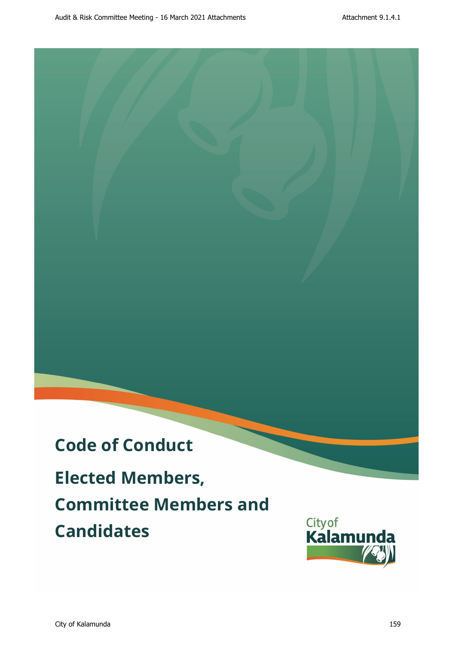# **Code of Conduct**

**Elected Members, Committee Members and Candidates DRAFT Audit Committee Meeting - 16 March 2021 Attachments Attachments Attachments Attachments Attachments Attachment 9.1.4.1.1.4.1.1.4.1.1.4.1.1.4.1.1.4.1.1.4.1.1.4.1.1.4.1.1.4.1.1.4.1.1.4.1.4.1.4.1.4.1.4.1.4.1.4.1.4.1.4.** 

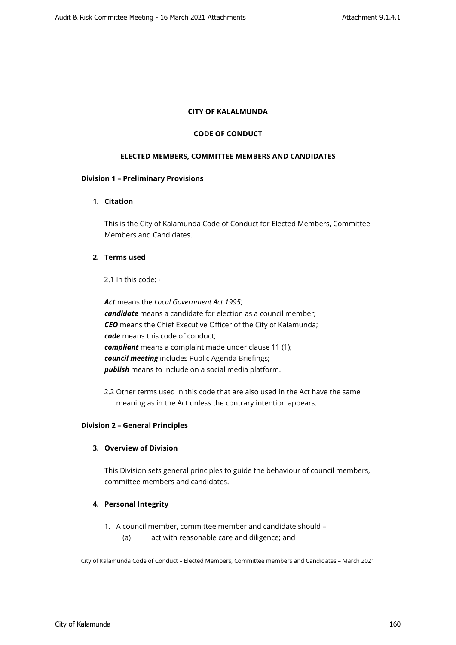#### **CITY OF KALALMUNDA**

#### **CODE OF CONDUCT**

#### **ELECTED MEMBERS, COMMITTEE MEMBERS AND CANDIDATES**

#### **Division 1 – Preliminary Provisions**

# **1. Citation**

This is the City of Kalamunda Code of Conduct for Elected Members, Committee Members and Candidates.

# **2. Terms used**

2.1 In this code: -

*Act* means the *Local Government Act 1995*; *candidate* means a candidate for election as a council member; *CEO* means the Chief Executive Officer of the City of Kalamunda; *code* means this code of conduct; *compliant* means a complaint made under clause 11 (1); *council meeting* includes Public Agenda Briefings; *publish* means to include on a social media platform.

2.2 Other terms used in this code that are also used in the Act have the same meaning as in the Act unless the contrary intention appears.

#### **Division 2 – General Principles**

# **3. Overview of Division**

This Division sets general principles to guide the behaviour of council members, committee members and candidates.

### **4. Personal Integrity**

- 1. A council member, committee member and candidate should
	- (a) act with reasonable care and diligence; and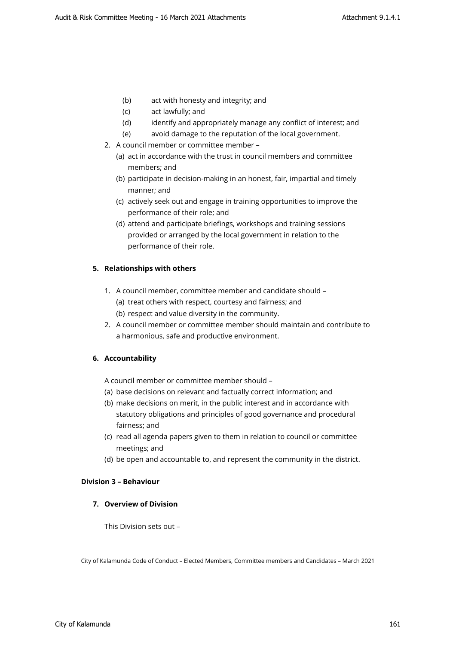- (b) act with honesty and integrity; and
- (c) act lawfully; and
- (d) identify and appropriately manage any conflict of interest; and
- (e) avoid damage to the reputation of the local government.
- 2. A council member or committee member
	- (a) act in accordance with the trust in council members and committee members; and
	- (b) participate in decision-making in an honest, fair, impartial and timely manner; and
	- (c) actively seek out and engage in training opportunities to improve the performance of their role; and
	- (d) attend and participate briefings, workshops and training sessions provided or arranged by the local government in relation to the performance of their role.

## **5. Relationships with others**

- 1. A council member, committee member and candidate should
	- (a) treat others with respect, courtesy and fairness; and
	- (b) respect and value diversity in the community.
- 2. A council member or committee member should maintain and contribute to a harmonious, safe and productive environment.

### **6. Accountability**

A council member or committee member should –

- (a) base decisions on relevant and factually correct information; and
- (b) make decisions on merit, in the public interest and in accordance with statutory obligations and principles of good governance and procedural fairness; and
- (c) read all agenda papers given to them in relation to council or committee meetings; and
- (d) be open and accountable to, and represent the community in the district.

## **Division 3 – Behaviour**

### **7. Overview of Division**

This Division sets out –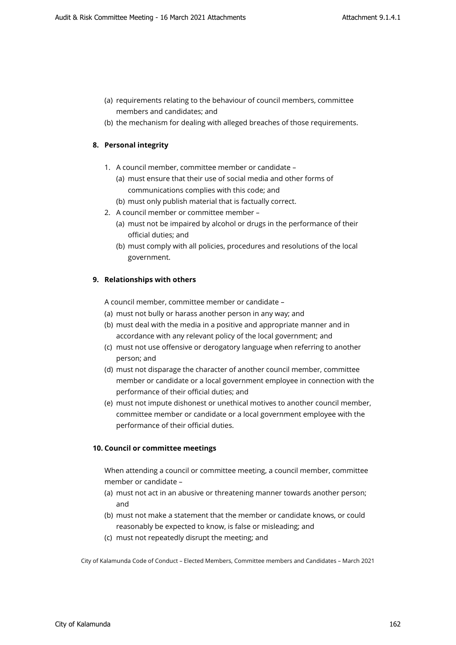- (a) requirements relating to the behaviour of council members, committee members and candidates; and
- (b) the mechanism for dealing with alleged breaches of those requirements.

# **8. Personal integrity**

- 1. A council member, committee member or candidate
	- (a) must ensure that their use of social media and other forms of communications complies with this code; and
	- (b) must only publish material that is factually correct.
- 2. A council member or committee member
	- (a) must not be impaired by alcohol or drugs in the performance of their official duties; and
	- (b) must comply with all policies, procedures and resolutions of the local government.

# **9. Relationships with others**

A council member, committee member or candidate –

- (a) must not bully or harass another person in any way; and
- (b) must deal with the media in a positive and appropriate manner and in accordance with any relevant policy of the local government; and
- (c) must not use offensive or derogatory language when referring to another person; and
- (d) must not disparage the character of another council member, committee member or candidate or a local government employee in connection with the performance of their official duties; and
- (e) must not impute dishonest or unethical motives to another council member, committee member or candidate or a local government employee with the performance of their official duties.

# **10. Council or committee meetings**

When attending a council or committee meeting, a council member, committee member or candidate –

- (a) must not act in an abusive or threatening manner towards another person; and
- (b) must not make a statement that the member or candidate knows, or could reasonably be expected to know, is false or misleading; and
- (c) must not repeatedly disrupt the meeting; and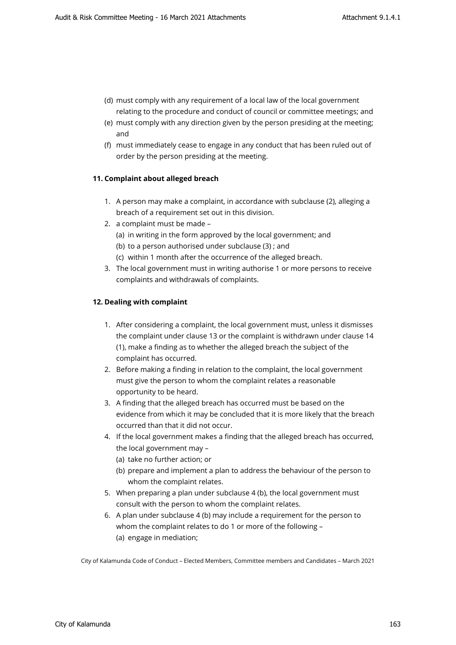- (d) must comply with any requirement of a local law of the local government relating to the procedure and conduct of council or committee meetings; and
- (e) must comply with any direction given by the person presiding at the meeting; and
- (f) must immediately cease to engage in any conduct that has been ruled out of order by the person presiding at the meeting.

#### **11. Complaint about alleged breach**

- 1. A person may make a complaint, in accordance with subclause (2), alleging a breach of a requirement set out in this division.
- 2. a complaint must be made
	- (a) in writing in the form approved by the local government; and
	- (b) to a person authorised under subclause (3) ; and
	- (c) within 1 month after the occurrence of the alleged breach.
- 3. The local government must in writing authorise 1 or more persons to receive complaints and withdrawals of complaints.

#### **12. Dealing with complaint**

- 1. After considering a complaint, the local government must, unless it dismisses the complaint under clause 13 or the complaint is withdrawn under clause 14 (1), make a finding as to whether the alleged breach the subject of the complaint has occurred.
- 2. Before making a finding in relation to the complaint, the local government must give the person to whom the complaint relates a reasonable opportunity to be heard.
- 3. A finding that the alleged breach has occurred must be based on the evidence from which it may be concluded that it is more likely that the breach occurred than that it did not occur.
- 4. If the local government makes a finding that the alleged breach has occurred, the local government may –
	- (a) take no further action; or
	- (b) prepare and implement a plan to address the behaviour of the person to whom the complaint relates.
- 5. When preparing a plan under subclause 4 (b), the local government must consult with the person to whom the complaint relates.
- 6. A plan under subclause 4 (b) may include a requirement for the person to whom the complaint relates to do 1 or more of the following – (a) engage in mediation;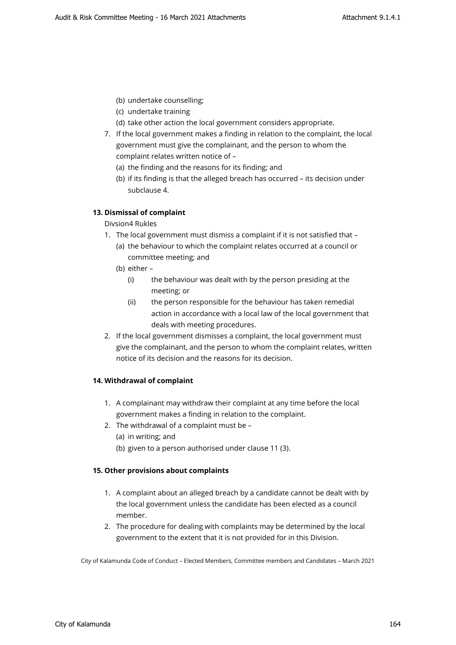- (b) undertake counselling;
- (c) undertake training
- (d) take other action the local government considers appropriate.
- 7. If the local government makes a finding in relation to the complaint, the local government must give the complainant, and the person to whom the complaint relates written notice of –
	- (a) the finding and the reasons for its finding; and
	- (b) if its finding is that the alleged breach has occurred its decision under subclause 4.

# **13. Dismissal of complaint**

# Divsion4 Rukles

- 1. The local government must dismiss a complaint if it is not satisfied that
	- (a) the behaviour to which the complaint relates occurred at a council or committee meeting; and
	- (b) either
		- (i) the behaviour was dealt with by the person presiding at the meeting; or
		- (ii) the person responsible for the behaviour has taken remedial action in accordance with a local law of the local government that deals with meeting procedures.
- 2. If the local government dismisses a complaint, the local government must give the complainant, and the person to whom the complaint relates, written notice of its decision and the reasons for its decision.

# **14. Withdrawal of complaint**

- 1. A complainant may withdraw their complaint at any time before the local government makes a finding in relation to the complaint.
- 2. The withdrawal of a complaint must be
	- (a) in writing; and
	- (b) given to a person authorised under clause 11 (3).

# **15. Other provisions about complaints**

- 1. A complaint about an alleged breach by a candidate cannot be dealt with by the local government unless the candidate has been elected as a council member.
- 2. The procedure for dealing with complaints may be determined by the local government to the extent that it is not provided for in this Division.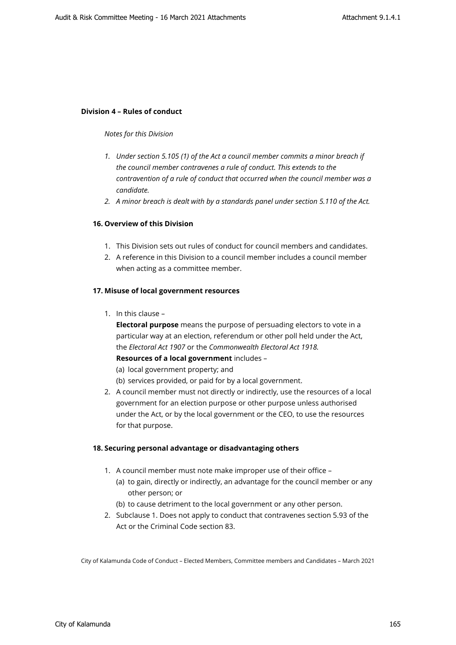#### **Division 4 – Rules of conduct**

#### *Notes for this Division*

- *1. Under section 5.105 (1) of the Act a council member commits a minor breach if the council member contravenes a rule of conduct. This extends to the contravention of a rule of conduct that occurred when the council member was a candidate.*
- *2. A minor breach is dealt with by a standards panel under section 5.110 of the Act.*

## **16. Overview of this Division**

- 1. This Division sets out rules of conduct for council members and candidates.
- 2. A reference in this Division to a council member includes a council member when acting as a committee member.

#### **17. Misuse of local government resources**

1. In this clause –

**Electoral purpose** means the purpose of persuading electors to vote in a particular way at an election, referendum or other poll held under the Act, the *Electoral Act 1907* or the *Commonwealth Electoral Act 1918.* **Resources of a local government** includes –

- 
- (a) local government property; and
- (b) services provided, or paid for by a local government.
- 2. A council member must not directly or indirectly, use the resources of a local government for an election purpose or other purpose unless authorised under the Act, or by the local government or the CEO, to use the resources for that purpose.

#### **18. Securing personal advantage or disadvantaging others**

- 1. A council member must note make improper use of their office
	- (a) to gain, directly or indirectly, an advantage for the council member or any other person; or
	- (b) to cause detriment to the local government or any other person.
- 2. Subclause 1. Does not apply to conduct that contravenes section 5.93 of the Act or the Criminal Code section 83.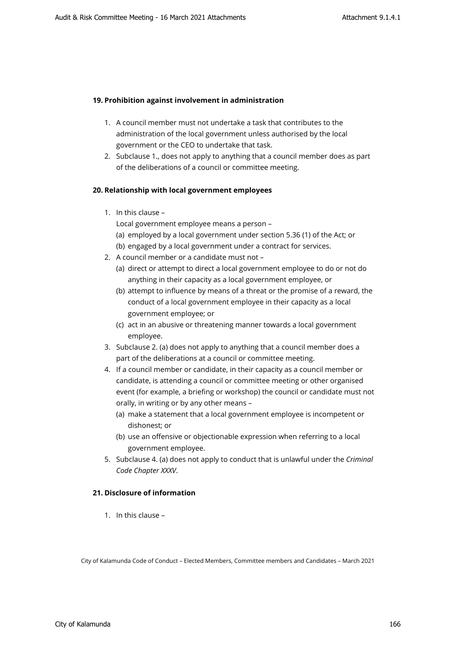## **19. Prohibition against involvement in administration**

- 1. A council member must not undertake a task that contributes to the administration of the local government unless authorised by the local government or the CEO to undertake that task.
- 2. Subclause 1., does not apply to anything that a council member does as part of the deliberations of a council or committee meeting.

#### **20. Relationship with local government employees**

1. In this clause –

Local government employee means a person –

- (a) employed by a local government under section 5.36 (1) of the Act; or
- (b) engaged by a local government under a contract for services.
- 2. A council member or a candidate must not
	- (a) direct or attempt to direct a local government employee to do or not do anything in their capacity as a local government employee, or
	- (b) attempt to influence by means of a threat or the promise of a reward, the conduct of a local government employee in their capacity as a local government employee; or
	- (c) act in an abusive or threatening manner towards a local government employee.
- 3. Subclause 2. (a) does not apply to anything that a council member does a part of the deliberations at a council or committee meeting.
- 4. If a council member or candidate, in their capacity as a council member or candidate, is attending a council or committee meeting or other organised event (for example, a briefing or workshop) the council or candidate must not orally, in writing or by any other means –
	- (a) make a statement that a local government employee is incompetent or dishonest; or
	- (b) use an offensive or objectionable expression when referring to a local government employee.
- 5. Subclause 4. (a) does not apply to conduct that is unlawful under the *Criminal Code Chapter XXXV*.

# **21. Disclosure of information**

1. In this clause –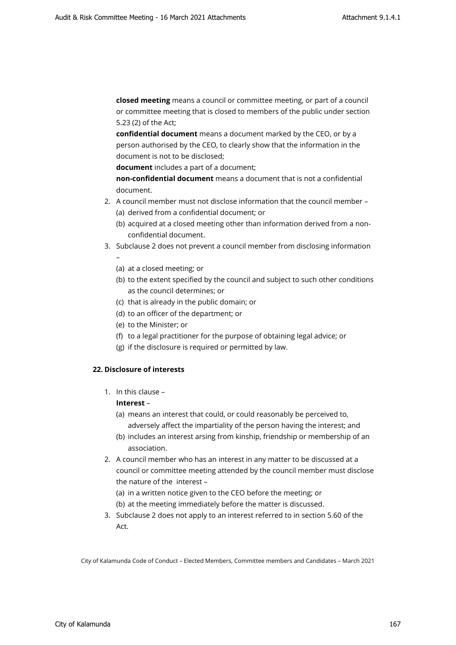**closed meeting** means a council or committee meeting, or part of a council or committee meeting that is closed to members of the public under section 5.23 (2) of the Act;

**confidential document** means a document marked by the CEO, or by a person authorised by the CEO, to clearly show that the information in the document is not to be disclosed;

**document** includes a part of a document;

**non-confidential document** means a document that is not a confidential document.

- 2. A council member must not disclose information that the council member (a) derived from a confidential document; or
	- (b) acquired at a closed meeting other than information derived from a nonconfidential document.
- 3. Subclause 2 does not prevent a council member from disclosing information –
	- (a) at a closed meeting; or
	- (b) to the extent specified by the council and subject to such other conditions as the council determines; or
	- (c) that is already in the public domain; or
	- (d) to an officer of the department; or
	- (e) to the Minister; or
	- (f) to a legal practitioner for the purpose of obtaining legal advice; or
	- (g) if the disclosure is required or permitted by law.

#### **22. Disclosure of interests**

1. In this clause –

# **Interest** –

- (a) means an interest that could, or could reasonably be perceived to,
- adversely affect the impartiality of the person having the interest; and (b) includes an interest arsing from kinship, friendship or membership of an
	- association.
- 2. A council member who has an interest in any matter to be discussed at a council or committee meeting attended by the council member must disclose the nature of the interest –
	- (a) in a written notice given to the CEO before the meeting; or
	- (b) at the meeting immediately before the matter is discussed.
- 3. Subclause 2 does not apply to an interest referred to in section 5.60 of the Act.